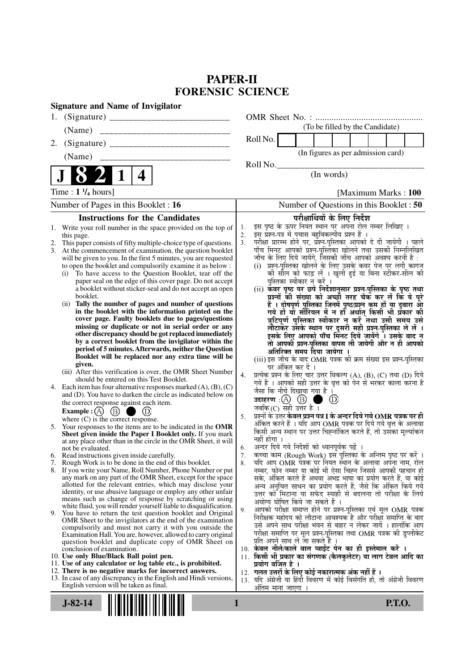# **PAPER-II FORENSIC SCIENCE**

| <b>Signature and Name of Invigilator</b>                                                                                                                                                                                                                                                                                                                                                                                                                                                                                                                                                                                                                                                                                                                                                                                                                                                                                                                                                                                                                                                                                                                                                                                                                                                                                                                                                                                                                                  |                                                                                                                                                                                                                                                                                                                                                                                                                                                                                                                                                                                                                                                                                                                                                                                                                                                                                                                                                                                                                                                                                                                                                                                                                                                                                                                                                                                                                                                                                          |
|---------------------------------------------------------------------------------------------------------------------------------------------------------------------------------------------------------------------------------------------------------------------------------------------------------------------------------------------------------------------------------------------------------------------------------------------------------------------------------------------------------------------------------------------------------------------------------------------------------------------------------------------------------------------------------------------------------------------------------------------------------------------------------------------------------------------------------------------------------------------------------------------------------------------------------------------------------------------------------------------------------------------------------------------------------------------------------------------------------------------------------------------------------------------------------------------------------------------------------------------------------------------------------------------------------------------------------------------------------------------------------------------------------------------------------------------------------------------------|------------------------------------------------------------------------------------------------------------------------------------------------------------------------------------------------------------------------------------------------------------------------------------------------------------------------------------------------------------------------------------------------------------------------------------------------------------------------------------------------------------------------------------------------------------------------------------------------------------------------------------------------------------------------------------------------------------------------------------------------------------------------------------------------------------------------------------------------------------------------------------------------------------------------------------------------------------------------------------------------------------------------------------------------------------------------------------------------------------------------------------------------------------------------------------------------------------------------------------------------------------------------------------------------------------------------------------------------------------------------------------------------------------------------------------------------------------------------------------------|
| 1.                                                                                                                                                                                                                                                                                                                                                                                                                                                                                                                                                                                                                                                                                                                                                                                                                                                                                                                                                                                                                                                                                                                                                                                                                                                                                                                                                                                                                                                                        |                                                                                                                                                                                                                                                                                                                                                                                                                                                                                                                                                                                                                                                                                                                                                                                                                                                                                                                                                                                                                                                                                                                                                                                                                                                                                                                                                                                                                                                                                          |
| (Name)                                                                                                                                                                                                                                                                                                                                                                                                                                                                                                                                                                                                                                                                                                                                                                                                                                                                                                                                                                                                                                                                                                                                                                                                                                                                                                                                                                                                                                                                    | (To be filled by the Candidate)                                                                                                                                                                                                                                                                                                                                                                                                                                                                                                                                                                                                                                                                                                                                                                                                                                                                                                                                                                                                                                                                                                                                                                                                                                                                                                                                                                                                                                                          |
| 2.                                                                                                                                                                                                                                                                                                                                                                                                                                                                                                                                                                                                                                                                                                                                                                                                                                                                                                                                                                                                                                                                                                                                                                                                                                                                                                                                                                                                                                                                        | Roll No.                                                                                                                                                                                                                                                                                                                                                                                                                                                                                                                                                                                                                                                                                                                                                                                                                                                                                                                                                                                                                                                                                                                                                                                                                                                                                                                                                                                                                                                                                 |
| (Name)                                                                                                                                                                                                                                                                                                                                                                                                                                                                                                                                                                                                                                                                                                                                                                                                                                                                                                                                                                                                                                                                                                                                                                                                                                                                                                                                                                                                                                                                    | (In figures as per admission card)                                                                                                                                                                                                                                                                                                                                                                                                                                                                                                                                                                                                                                                                                                                                                                                                                                                                                                                                                                                                                                                                                                                                                                                                                                                                                                                                                                                                                                                       |
|                                                                                                                                                                                                                                                                                                                                                                                                                                                                                                                                                                                                                                                                                                                                                                                                                                                                                                                                                                                                                                                                                                                                                                                                                                                                                                                                                                                                                                                                           | Roll No.                                                                                                                                                                                                                                                                                                                                                                                                                                                                                                                                                                                                                                                                                                                                                                                                                                                                                                                                                                                                                                                                                                                                                                                                                                                                                                                                                                                                                                                                                 |
| 4                                                                                                                                                                                                                                                                                                                                                                                                                                                                                                                                                                                                                                                                                                                                                                                                                                                                                                                                                                                                                                                                                                                                                                                                                                                                                                                                                                                                                                                                         | (In words)                                                                                                                                                                                                                                                                                                                                                                                                                                                                                                                                                                                                                                                                                                                                                                                                                                                                                                                                                                                                                                                                                                                                                                                                                                                                                                                                                                                                                                                                               |
| Time: $1\frac{1}{4}$ hours]                                                                                                                                                                                                                                                                                                                                                                                                                                                                                                                                                                                                                                                                                                                                                                                                                                                                                                                                                                                                                                                                                                                                                                                                                                                                                                                                                                                                                                               | [Maximum Marks: 100]                                                                                                                                                                                                                                                                                                                                                                                                                                                                                                                                                                                                                                                                                                                                                                                                                                                                                                                                                                                                                                                                                                                                                                                                                                                                                                                                                                                                                                                                     |
| Number of Pages in this Booklet : 16                                                                                                                                                                                                                                                                                                                                                                                                                                                                                                                                                                                                                                                                                                                                                                                                                                                                                                                                                                                                                                                                                                                                                                                                                                                                                                                                                                                                                                      | Number of Questions in this Booklet : 50                                                                                                                                                                                                                                                                                                                                                                                                                                                                                                                                                                                                                                                                                                                                                                                                                                                                                                                                                                                                                                                                                                                                                                                                                                                                                                                                                                                                                                                 |
| <b>Instructions for the Candidates</b>                                                                                                                                                                                                                                                                                                                                                                                                                                                                                                                                                                                                                                                                                                                                                                                                                                                                                                                                                                                                                                                                                                                                                                                                                                                                                                                                                                                                                                    | परीक्षार्थियों के लिए निर्देश                                                                                                                                                                                                                                                                                                                                                                                                                                                                                                                                                                                                                                                                                                                                                                                                                                                                                                                                                                                                                                                                                                                                                                                                                                                                                                                                                                                                                                                            |
| this page.<br>This paper consists of fifty multiple-choice type of questions.<br>At the commencement of examination, the question booklet<br>3.<br>will be given to you. In the first 5 minutes, you are requested<br>to open the booklet and compulsorily examine it as below :<br>To have access to the Question Booklet, tear off the<br>(i)<br>paper seal on the edge of this cover page. Do not accept<br>a booklet without sticker-seal and do not accept an open<br>booklet.<br>Tally the number of pages and number of questions<br>(ii)<br>in the booklet with the information printed on the<br>cover page. Faulty booklets due to pages/questions<br>missing or duplicate or not in serial order or any<br>other discrepancy should be got replaced immediately<br>by a correct booklet from the invigilator within the<br>period of 5 minutes. Afterwards, neither the Question<br>Booklet will be replaced nor any extra time will be<br>given.<br>(iii) After this verification is over, the OMR Sheet Number<br>should be entered on this Test Booklet.<br>4. Each item has four alternative responses marked $(A)$ , $(B)$ , $(C)$<br>and (D). You have to darken the circle as indicated below on<br>the correct response against each item.<br><b>Example:</b> (A) $(B)$<br>(D)<br>where $(C)$ is the correct response.<br>Your responses to the items are to be indicated in the OMR<br>5.<br>Sheet given inside the Paper I Booklet only. If you mark | इस प्रश्न-पत्र में पचास बहुविकल्पीय प्रश्न हैं ।<br>2.<br>परीक्षा प्रारम्भ होने पर, प्रॅश्न्-पुस्तिका आपको दे दी जायेगी । पहले<br>3.<br>पाँच मिनट आपको प्रश्न-पुस्तिका खोलने तथा उसकी निम्नलिखित<br>जाँच के लिए दिये जायेंगे, जिसकी जाँच आपको अवश्य करनी है :<br>(i) प्रश्न-पुस्तिका खोलने के लिए उसके कवर पेज पर लगी कागज<br>की सौल को फाड़ लें । खुली हुई या बिना स्टीकर-सील की<br>पुस्तिका स्वीकार न करें ।<br>(ii) कवर पृष्ठ पर छपे निर्देशानुसार प्रश्न-पुस्तिका के पृष्ठ तथा<br>प्रश्नों की संख्या को अच्छी तरह चैक कर लें कि ये पूरे<br>हैं । दोषपूर्ण पुस्तिका जिनमें पृष्ठ/प्रश्न कम हों या दुबारा आ<br>गये हो या सीरियल में न हो अर्थात् किसी भी प्रकार की<br>त्रुटिपूर्ण पुस्तिका स्वीकार न करें तथा उसी समय उसे<br>लौटाकेंर उसके स्थान पर दूसरी सही प्रश्न-पुस्तिका ले लें ।<br>इसके लिए आपको पाँच मिंनट दिये जायेंगे ँ। उसके बाद न<br>तो आपकी प्रश्न-पुस्तिका वापस ली जायेगी और न ही आपको<br>अतिरिक्त समय दिया जायेगा<br>(iii) इस जाँच के बाद OMR पत्रक की क्रम संख्या इस प्रश्न-पुस्तिका<br>पर अंकित कर दें ।<br>4.<br>प्रत्येक प्रश्न के लिए चार उत्तर विकल्प (A), (B), (C) तथा (D) दिये<br>गये हैं । आपको सही उत्तर के वृत्त को पेन से भरकर काला करना है<br>जैसा कि नीचे दिखाया गया है<br>उदाहरण: $(A)$ $(B)$<br>(D)<br>जबकि(C) सही उत्तर है ।<br>प्रश्नों के उत्तर <b>केवल प्रश्न पत्र I के अन्दर दिये गये OMR पत्रक पर ही</b><br>5.<br>अंकित करने हैं । यदि आप OMR पत्रक पर दिये गये वृत्त के अलावा<br>किसी अन्य स्थान पर उत्तर चिह्नांकित करते हैं, तो उसका मूल्यांकन |
| at any place other than in the circle in the OMR Sheet, it will<br>not be evaluated.                                                                                                                                                                                                                                                                                                                                                                                                                                                                                                                                                                                                                                                                                                                                                                                                                                                                                                                                                                                                                                                                                                                                                                                                                                                                                                                                                                                      | नहीं होगा ।<br>अन्दर दिये गये निर्देशों को ध्यानपूर्वक पढ़ें ।<br>6.                                                                                                                                                                                                                                                                                                                                                                                                                                                                                                                                                                                                                                                                                                                                                                                                                                                                                                                                                                                                                                                                                                                                                                                                                                                                                                                                                                                                                     |
| 6. Read instructions given inside carefully.                                                                                                                                                                                                                                                                                                                                                                                                                                                                                                                                                                                                                                                                                                                                                                                                                                                                                                                                                                                                                                                                                                                                                                                                                                                                                                                                                                                                                              | कच्चा काम (Rough Work) इस पुस्तिका के अन्तिम पृष्ठ पर करें ।<br>7.                                                                                                                                                                                                                                                                                                                                                                                                                                                                                                                                                                                                                                                                                                                                                                                                                                                                                                                                                                                                                                                                                                                                                                                                                                                                                                                                                                                                                       |
| 7. Rough Work is to be done in the end of this booklet.<br>8. If you write your Name, Roll Number, Phone Number or put                                                                                                                                                                                                                                                                                                                                                                                                                                                                                                                                                                                                                                                                                                                                                                                                                                                                                                                                                                                                                                                                                                                                                                                                                                                                                                                                                    | यदि आप OMR पत्रक पर नियत स्थान के अलावा अपना नाम, रोल<br>8.<br>नम्बर, फोन नम्बर या कोई भी ऐसा चिह्न जिससे आपकी पहचान हो                                                                                                                                                                                                                                                                                                                                                                                                                                                                                                                                                                                                                                                                                                                                                                                                                                                                                                                                                                                                                                                                                                                                                                                                                                                                                                                                                                  |
| any mark on any part of the OMR Sheet, except for the space<br>allotted for the relevant entries, which may disclose your<br>identity, or use abusive language or employ any other unfair<br>means such as change of response by scratching or using<br>white fluid, you will render yourself liable to disqualification.                                                                                                                                                                                                                                                                                                                                                                                                                                                                                                                                                                                                                                                                                                                                                                                                                                                                                                                                                                                                                                                                                                                                                 | सके, अंकित करते हैं अथवा अभद्र भाषा का प्रयोग करते हैं, या कोई<br>अन्य अनुचित साधन का प्रयोग करते हैं, जैसे कि अंकित किये गये<br>उत्तर को मिटाना या सफेद स्याही से बदलना तो परीक्षा के लिये<br>अयोग्य घोषित किये जा सकते हैं ।                                                                                                                                                                                                                                                                                                                                                                                                                                                                                                                                                                                                                                                                                                                                                                                                                                                                                                                                                                                                                                                                                                                                                                                                                                                           |
| 9. You have to return the test question booklet and Original<br>OMR Sheet to the invigilators at the end of the examination<br>compulsorily and must not carry it with you outside the<br>Examination Hall. You are, however, allowed to carry original                                                                                                                                                                                                                                                                                                                                                                                                                                                                                                                                                                                                                                                                                                                                                                                                                                                                                                                                                                                                                                                                                                                                                                                                                   | आपको परीक्षा समाप्त होने पर प्रश्न-पुस्तिका एवं मूल OMR पत्रक<br>9.<br>निरीक्षक महोदय को लौटाना आवश्यक है और परीक्षा समाप्ति के बाद<br>उसे अपने साथ परीक्षा भवन से बाहर न लेकर जायें । हालांकि आप<br>परीक्षा समाप्ति पर मूल प्रश्न-पुस्तिका तथा OMR पत्रक की डुप्लीकेट                                                                                                                                                                                                                                                                                                                                                                                                                                                                                                                                                                                                                                                                                                                                                                                                                                                                                                                                                                                                                                                                                                                                                                                                                   |
| question booklet and duplicate copy of OMR Sheet on<br>conclusion of examination.<br>10. Use only Blue/Black Ball point pen.<br>11. Use of any calculator or log table etc., is prohibited.<br>12. There is no negative marks for incorrect answers.                                                                                                                                                                                                                                                                                                                                                                                                                                                                                                                                                                                                                                                                                                                                                                                                                                                                                                                                                                                                                                                                                                                                                                                                                      | प्रति अपने साथ ले जा सकते हैं ।<br>10. केवल नीले/काले बाल प्वाईट पेन का ही इस्तेमाल करें ।<br>11. किसी भी प्रकार का संगणक (कैलकुलेटर) या लाग टेबल आदि का<br>प्रयोग वर्जित है ।<br>12.  गलत उत्तरों के लिए कोई नकारात्मक अंक नहीं हैं ।                                                                                                                                                                                                                                                                                                                                                                                                                                                                                                                                                                                                                                                                                                                                                                                                                                                                                                                                                                                                                                                                                                                                                                                                                                                   |
| 13. In case of any discrepancy in the English and Hindi versions,<br>English version will be taken as final.                                                                                                                                                                                                                                                                                                                                                                                                                                                                                                                                                                                                                                                                                                                                                                                                                                                                                                                                                                                                                                                                                                                                                                                                                                                                                                                                                              | 13. यदि अंग्रेजी या हिंदी विवरण में कोई विसंगति हो, तो अंग्रेजी विवरण<br>अंतिम माना जाएगा                                                                                                                                                                                                                                                                                                                                                                                                                                                                                                                                                                                                                                                                                                                                                                                                                                                                                                                                                                                                                                                                                                                                                                                                                                                                                                                                                                                                |
| $J - 82 - 14$                                                                                                                                                                                                                                                                                                                                                                                                                                                                                                                                                                                                                                                                                                                                                                                                                                                                                                                                                                                                                                                                                                                                                                                                                                                                                                                                                                                                                                                             | <b>P.T.O.</b><br>1                                                                                                                                                                                                                                                                                                                                                                                                                                                                                                                                                                                                                                                                                                                                                                                                                                                                                                                                                                                                                                                                                                                                                                                                                                                                                                                                                                                                                                                                       |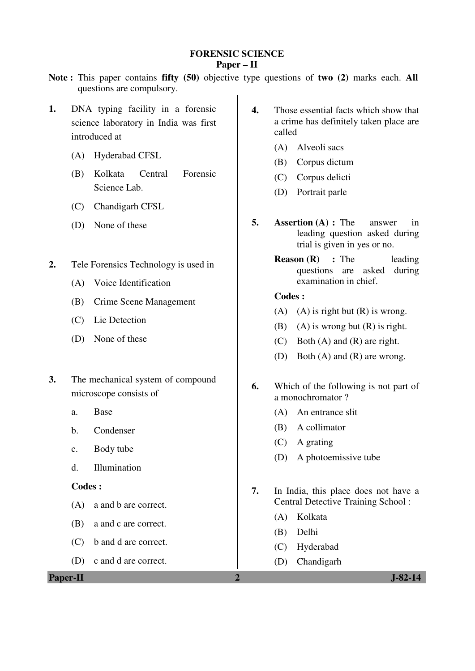#### **FORENSIC SCIENCE Paper – II**

- **Note :** This paper contains **fifty (50)** objective type questions of **two (2)** marks each. **All** questions are compulsory.
- **1.** DNA typing facility in a forensic science laboratory in India was first introduced at
	- (A) Hyderabad CFSL
	- (B) Kolkata Central Forensic Science Lab.
	- (C) Chandigarh CFSL
	- (D) None of these
- **2.** Tele Forensics Technology is used in
	- (A) Voice Identification
	- (B) Crime Scene Management
	- (C) Lie Detection
	- (D) None of these
- **3.** The mechanical system of compound microscope consists of
	- a. Base
	- b. Condenser
	- c. Body tube
	- d. Illumination

### **Codes :**

- (A) a and b are correct.
- (B) a and c are correct.
- (C) b and d are correct.
- (D) c and d are correct.

**Paper-II** J-82-14

- **4.** Those essential facts which show that a crime has definitely taken place are called
	- (A) Alveoli sacs
	- (B) Corpus dictum
	- (C) Corpus delicti
	- (D) Portrait parle
- **5. Assertion (A) :** The answer in leading question asked during trial is given in yes or no.
	- **Reason (R)** : The leading questions are asked during examination in chief.

- (A) (A) is right but  $(R)$  is wrong.
- (B) (A) is wrong but  $(R)$  is right.
- (C) Both (A) and (R) are right.
- (D) Both (A) and (R) are wrong.
- **6.** Which of the following is not part of a monochromator ?
	- (A) An entrance slit
	- (B) A collimator
	- (C) A grating
	- (D) A photoemissive tube
- **7.** In India, this place does not have a Central Detective Training School :
	- (A) Kolkata
	- (B) Delhi
	- (C) Hyderabad
	- (D) Chandigarh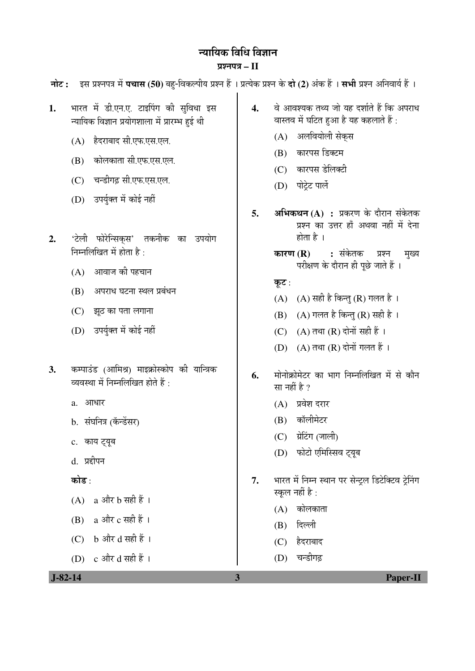# न्यायिक विधि विज्ञान

प्रश्नपत्र $-I$ नोट: इस प्रश्नपत्र में पचास (50) बह-विकल्पीय प्रश्न हैं । प्रत्येक प्रश्न के दो (2) अंक हैं । सभी प्रश्न अनिवार्य हैं । भारत में डी.एन.ए. टाइपिंग की सुविधा इस  $\mathbf{1}$ .  $\overline{4}$ . वे आवश्यक तथ्य जो यह दर्शाते हैं कि अपराध वास्तव में घटित हुआ है यह कहलाते हैं: न्यायिक विज्ञान प्रयोगशाला में प्रारम्भ हुई थी (A) अलवियोली सेकस (A) हैदराबाद सी.एफ.एस.एल. (B) कारपस डिक्टम (B) कोलकाता सी.एफ.एस.एल. (C) कारपस डेलिक्टी (C) चन्डीगढ़ सी.एफ.एस.एल. (D) पोटे़ट पार्ले (D) उपर्युक्त में कोई नहीं अभिकथन $(A)$ : प्रकरण के दौरान संकेतक 5. प्रश्न का उत्तर हाँ अथवा नहीं में देना होता है । 'टेली फोरेन्सिकस' तकनीक का उपयोग  $2.$ निम्नलिखित में होता है: कारण $(R)$ : संकेतक प्रश्न मख्य परीक्षण के दौरान ही पूछे जाते हैं । (A) आवाज की पहचान कूट : (B) अपराध घटना स्थल प्रबंधन (A)  $(A)$  सही है किन्तु (R) गलत है। (C) झट का पता लगाना (B) (A) गलत है किन्तु (R) सही है । (D) उपर्युक्त में कोई नहीं (C)  $(A)$  तथा  $(R)$  दोनों सही हैं । (D)  $(A)$  तथा  $(R)$  दोनों गलत हैं । कम्पाउंड (आमिश्र) माइक्रोस्कोप की यान्त्रिक  $3.$ मोनोक्रोमेटर का भाग निम्नलिखित में से कौन 6. व्यवस्था में निम्नलिखित होते हैं · सा नहीं है ? a. आधार  $(A)$  प्रवेश दरार (B) कॉलीमेटर b. संघनित्र (कॅन्डेंसर)  $(C)$  ग्रेटिंग (जाली) c. काय ट्यूब (D) फोटो एमिस्सिव ट्यूब d. प्रहीपन भारत में निम्न स्थान पर सेन्ट्रल डिटेक्टिव ट्रेनिंग कोड : 7. स्कल नहीं है :  $(A)$  a और b सही हैं।  $(A)$  कोलकाता  $(B)$  a और c सही हैं । (B) दिल्ली  $(C)$  b और d सही हैं। (C) हेदराबाद (D) चन्डीगढ  $J-82-14$ **Paper-II**  $\overline{\mathbf{3}}$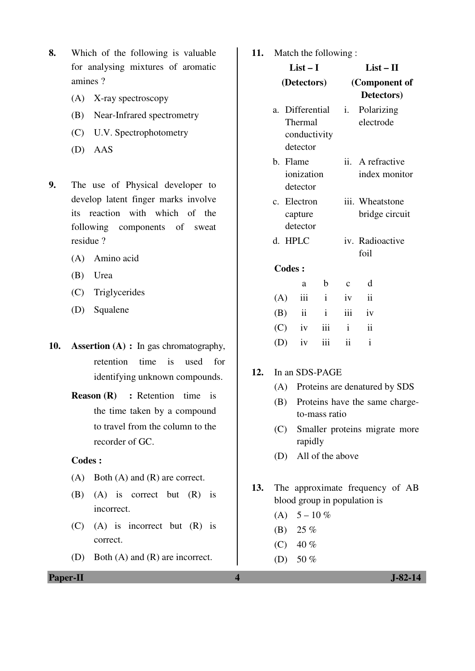- **8.** Which of the following is valuable for analysing mixtures of aromatic amines ?
	- (A) X-ray spectroscopy
	- (B) Near-Infrared spectrometry
	- (C) U.V. Spectrophotometry
	- (D) AAS
- **9.** The use of Physical developer to develop latent finger marks involve its reaction with which of the following components of sweat residue ?
	- (A) Amino acid
	- (B) Urea
	- (C) Triglycerides
	- (D) Squalene
- **10. Assertion (A) :** In gas chromatography, retention time is used for identifying unknown compounds.
	- **Reason (R)** : Retention time is the time taken by a compound to travel from the column to the recorder of GC.

- (A) Both (A) and (R) are correct.
- (B) (A) is correct but (R) is incorrect.
- (C) (A) is incorrect but (R) is correct.
- (D) Both (A) and (R) are incorrect.

**11.** Match the following :

|    | $List-I$      |                                    |                              | $List - II$  |                                   |  |
|----|---------------|------------------------------------|------------------------------|--------------|-----------------------------------|--|
|    | (Detectors)   |                                    |                              |              | (Component of<br>Detectors)       |  |
| a. |               | Thermal<br>detector                | Differential<br>conductivity | i.           | Polarizing<br>electrode           |  |
|    | b. Flame      | ionization<br>detector             |                              |              | ii. A refractive<br>index monitor |  |
|    |               | c. Electron<br>capture<br>detector |                              |              | iii. Wheatstone<br>bridge circuit |  |
| d. |               | <b>HPLC</b>                        |                              |              | iv. Radioactive<br>foil           |  |
|    | <b>Codes:</b> |                                    |                              |              |                                   |  |
|    |               | a                                  | b                            | $\mathbf{C}$ | d                                 |  |
|    | (A)           | iii                                | $\mathbf{i}$                 | iv           | $\ddot{\mathbf{i}}$               |  |
|    | (B)           | ii                                 | $\mathbf{i}$                 | iii          | iv                                |  |
|    | (C)           | iv                                 | iii                          | $\mathbf{i}$ | $\overline{\mathbf{ii}}$          |  |
|    | (D)           | iv                                 | iii                          | ii           | $\mathbf{i}$                      |  |

### **12.** In an SDS-PAGE

- (A) Proteins are denatured by SDS
- (B) Proteins have the same chargeto-mass ratio
- (C) Smaller proteins migrate more rapidly
- (D) All of the above

**13.** The approximate frequency of AB blood group in population is

- (A)  $5 10\%$
- (B) 25 %
- (C)  $40 \%$
- (D) 50  $%$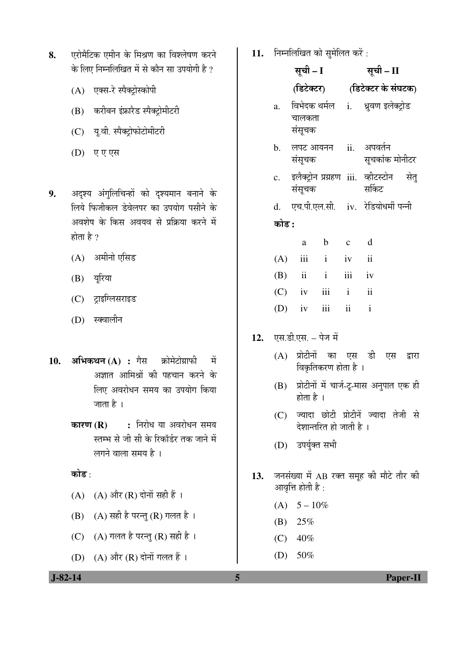| 8. | एरोमैटिक एमीन के मिश्रण का विश्लेषण करने    |
|----|---------------------------------------------|
|    | के लिए निम्नलिखित में से कौन सा उपयोगी है ? |

- (A) एक्स-रे स्पैक्ट्रोस्कोपी
- (B) करीबन इंफ्रारैड स्पैक्ट्रोमीटरी
- (C) यू.वी. स्पैक्ट्रोफोटोमीटरी
- (D) एएएस
- 9. अदृश्य अंगुलिचिन्हों को दृश्यमान बनाने के लिये फिजीकल डेवेलपर का उपयोग पसीने के अवशेष के किस अवयव से प्रक्रिया करने में होता है ?
	- $(A)$  अमीनो एसिड
	- $(B)$  यूरिया
	- (C) ट्राइग्लिसराइड
	- (D) स्क्वालीन
- 10. अभिकथन (A) : गैस क्रोमेटोग्राफी में अज्ञात आमिश्रों की पहचान करने के लिए अवरोधन समय का उपयोग किया जाता है $\perp$ 
	- **कारण (R) :** निरोध या अवरोधन समय स्तम्भ से जी सी के रिकॉर्डर तक जाने में लगने वाला समय है ।

कोड $:$ 

- $(A)$   $(A)$  और  $(R)$  दोनों सही हैं।
- $(B)$   $(A)$  सही है परन्तु  $(R)$  गलत है।
- (C)  $(A)$  गलत है परन्तु $(R)$  सही है।
- $(D)$   $(A)$  और  $(R)$  दोनों गलत हैं।

11. **निम्नलिखित को सुमेलित करें**:

|     |                | सूची – I            |                         |          | सूची – II                                           |  |  |
|-----|----------------|---------------------|-------------------------|----------|-----------------------------------------------------|--|--|
|     |                | (डिटेक्टर)          |                         |          | (डिटेक्टर के संघटक)                                 |  |  |
|     | a.             | चालकता<br>संसूचक    |                         |          | विभेदक थर्मल i. ध्रुवण इलेक्ट्रोड                   |  |  |
|     | b.             | संसूचक              |                         |          | लपट आयनन ii. अपवर्तन<br>सूचकांक मोनीटर              |  |  |
|     | $\mathbf{c}$ . | संसुचक              |                         |          | इलैक्ट्रोन प्रग्रहण iii. व्हीटस्टोन  सेतु<br>सर्किट |  |  |
|     |                |                     |                         |          | d. एच.पी.एल.सी. iv. रेडियोधर्मी पन्नी               |  |  |
|     | कोड :          |                     |                         |          |                                                     |  |  |
|     |                | $\rm{a}$            | $b$ c                   |          | $\mathbf d$                                         |  |  |
|     |                | $(A)$ iii i iv ii   |                         |          |                                                     |  |  |
|     |                | $(B)$ ii            | $i$ $iii$ $iv$          |          |                                                     |  |  |
|     |                | (C) iv iii i ii     |                         |          |                                                     |  |  |
|     |                | $(D)$ iv            |                         | iii ii i |                                                     |  |  |
| 12. |                | एस.डी.एस. – पेज में |                         |          |                                                     |  |  |
|     |                |                     | विकृतिकरण होता है ।     |          | (A) प्रोटीनों का एस डी एस द्वारा                    |  |  |
|     |                | होता है ।           |                         |          | (B) प्रोटीनों में चार्ज-टू-मास अनुपात एक ही         |  |  |
|     |                |                     | देशान्तरित हो जाती है । |          | (C) ज्यादा छोटी प्रोटीनें ज्यादा तेजी से            |  |  |
|     |                | (D) उपर्युक्त सभी   |                         |          |                                                     |  |  |
|     |                | आवृत्ति होती है :   |                         |          | 13. जनसंख्या में AB रक्त समूह की मौटे तौर की        |  |  |
|     |                | (A) $5-10\%$        |                         |          |                                                     |  |  |
|     |                | (B) $25%$           |                         |          |                                                     |  |  |
|     |                | $(C)$ 40%           |                         |          |                                                     |  |  |
|     |                | (D) $50\%$          |                         |          |                                                     |  |  |

 $12.$ 

 **J-82-14 5 Paper-II**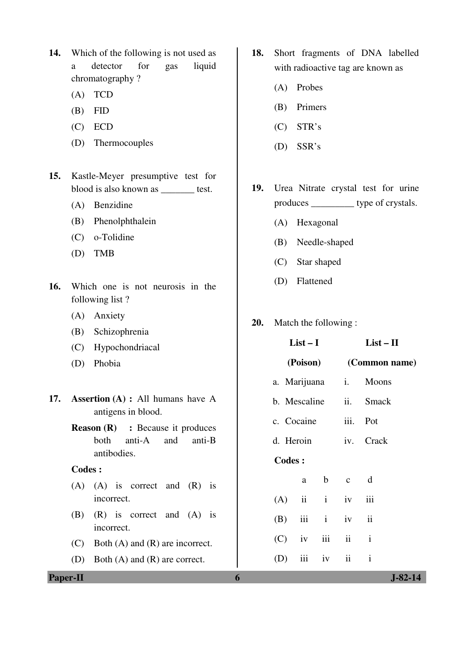- **14.** Which of the following is not used as a detector for gas liquid chromatography ?
	- (A) TCD
	- (B) FID
	- (C) ECD
	- (D) Thermocouples
- **15.** Kastle-Meyer presumptive test for blood is also known as \_\_\_\_\_\_\_ test.
	- (A) Benzidine
	- (B) Phenolphthalein
	- (C) o-Tolidine
	- (D) TMB
- **16.** Which one is not neurosis in the following list ?
	- (A) Anxiety
	- (B) Schizophrenia
	- (C) Hypochondriacal
	- (D) Phobia
- **17. Assertion (A) : All humans hat** antigens in blood.
	- **Reason (R)** : Because it produces both anti-A and a antibodies.

- $(A)$   $(A)$  is correct and  $(R)$ incorrect.
- $(B)$   $(R)$  is correct and  $(A)$ incorrect.
- $(C)$  Both  $(A)$  and  $(R)$  are incorrect.
- (D) Both (A) and (R) are corre
- **18.** Short fragments of DNA labelled with radioactive tag are known as
	- (A) Probes
	- (B) Primers
	- (C) STR's
	- (D) SSR's
- **19.** Urea Nitrate crystal test for urine produces \_\_\_\_\_\_\_\_\_ type of crystals.
	- (A) Hexagonal
	- (B) Needle-shaped
	- (C) Star shaped
	- (D) Flattened
- **20.** Match the following :

| (C)             | Hypochondriacal                                                |     | $List-I$      |              |                         | $List - II$             |  |
|-----------------|----------------------------------------------------------------|-----|---------------|--------------|-------------------------|-------------------------|--|
| (D)             | Phobia                                                         |     | (Poison)      |              |                         | (Common name)           |  |
|                 |                                                                |     | a. Marijuana  |              | $i_{\cdot}$             | Moons                   |  |
| 17.             | <b>Assertion (A) :</b> All humans have A<br>antigens in blood. |     | b. Mescaline  |              | ii.                     | <b>Smack</b>            |  |
|                 | <b>Reason (R)</b> : Because it produces                        |     | c. Cocaine    |              | iii.                    | Pot                     |  |
|                 | anti-A<br>and<br>both<br>anti-B                                |     | d. Heroin     |              | iv.                     | Crack                   |  |
|                 | antibodies.                                                    |     | <b>Codes:</b> |              |                         |                         |  |
|                 | <b>Codes:</b>                                                  |     |               |              |                         |                         |  |
|                 | $(A)$ $(A)$ is correct and $(R)$ is                            |     | a             | $\mathbf b$  | $\mathbf{C}$            | d                       |  |
|                 | incorrect.                                                     | (A) | $\mathbf{ii}$ | $\mathbf{i}$ | iv                      | iii                     |  |
| (B)             | $(R)$ is correct and $(A)$ is<br>incorrect.                    | (B) | iii           | $\mathbf{i}$ | iv                      | $\overline{\mathbf{u}}$ |  |
| (C)             | Both $(A)$ and $(R)$ are incorrect.                            | (C) | iv            | iii          | ii                      | $\mathbf{i}$            |  |
| (D)             | Both $(A)$ and $(R)$ are correct.                              | (D) | iii           | iv           | $\overline{\mathbf{u}}$ | $\mathbf{i}$            |  |
| <b>Paper-II</b> |                                                                | 6   |               |              |                         | $J-82-14$               |  |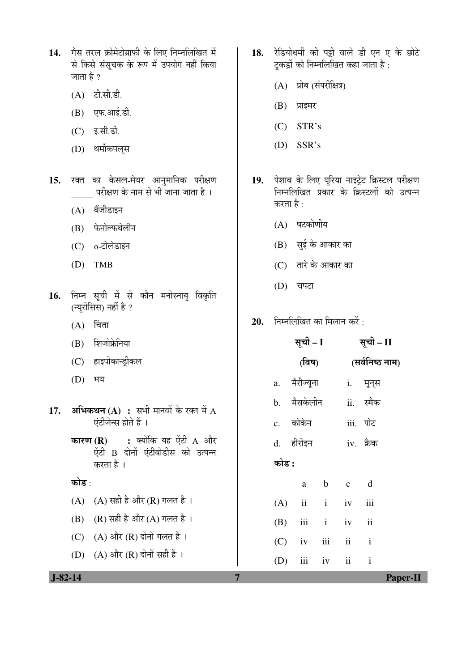- 14. गैस तरल क्रोमेटोग्राफी के लिए निम्नलिखित में से किसे संसचक के रूप में उपयोग नहीं किया जाता है  $\gamma$ 
	- (A) टी.सी.डी.
	- (B) एफ.आई.डी.
	- $(C)$  इ.सी.डी.
	- (D) थर्मोकपल्*स*
- रक्त का केसल-मेयर आनुमानिक परीक्षण  $15.$ परीक्षण के नाम से भी जाना जाता है ।
	- $(A)$  बैंजीडाइन
	- (B) फेनोल्फथेलीन
	- $(C)$  o-टोलेडाइन
	- $(D)$  TMB
- निम्न सूची में से कौन मनोस्नायु विकृति 16. (न्यूरोसिस) नहीं है ?
	- $(A)$  चिंता
	- (B) शिजोफ्रेनिया
	- (C) हाइपोकान्ड़ीकल
	- (D) भय
- $17.$ **अभिकथन (A) :** स एंटीजेन्स होते हैं
	- कारण $(R)$ ः क ऐंटी B दोनों करता है।
	- कोड :

 $J-82-14$ 

- $(A)$   $(A)$  सही है औ
- $(B)$   $(R)$  सही है और
- (C)  $(A)$  और  $(R)$
- (D)  $(A)$  और  $(R)$
- 18. रेडियोधर्मी की पट्टी वाले डी एन ए के छोटे टकडों को निम्नलिखित कहा जाता है:
	- (A) प्रोब (संपरीक्षित्र)
	- $(B)$  प्राइमर
	- $(C)$  STR's
	- $(D)$  SSR's
- 19. पेशाब के लिए यूरिया नाइट्रेट क्रिस्टल परीक्षण निम्नलिखित प्रकार के क्रिस्टलों को उत्पन्न करता है  $\cdot$ 
	- (A) षटकोणीय
	- (B) सुई के आकार का
	- $(C)$  तारे के आकार का
	- (D) चपटा
- निम्नलिखित का मिलान करें : 20.

|                                            |       | सूची – I    |               |           | सूची – II                |               |
|--------------------------------------------|-------|-------------|---------------|-----------|--------------------------|---------------|
|                                            |       | (विष)       |               |           | (सर्वनिष्ठ नाम)          |               |
|                                            | a.    | मैरीज्यूना  |               |           | i. मून् <b>स</b>         |               |
| भी मानवों के रक्त में $_{\rm A}$           |       | b. मैसकेलीन |               |           | ii. स्मैक                |               |
| $\perp$                                    |       | c. कोकेन    |               |           | iii. पोट                 |               |
| योंकि यह ऐंटी A और<br>एंटीबोडीस को उत्पन्न |       | d. हीरोइन   |               | iv. क्रैक |                          |               |
|                                            | कोड : |             |               |           |                          |               |
|                                            |       | a           |               | b c       | d                        |               |
| र (R) गलत है ।                             | (A)   |             | $ii$ $i$ $iv$ |           | iii                      |               |
| र (A) गलत है ।                             | (B)   |             | iii i iv      |           | $\overline{\mathbf{ii}}$ |               |
| रोनों गलत हैं ।                            | (C)   | iv          | iii           | ii        | $\mathbf{i}$             |               |
| रोनों सही हैं ।                            | (D)   | iii         |               | iv ii i   |                          |               |
|                                            | 7     |             |               |           |                          | <b>Paper-</b> |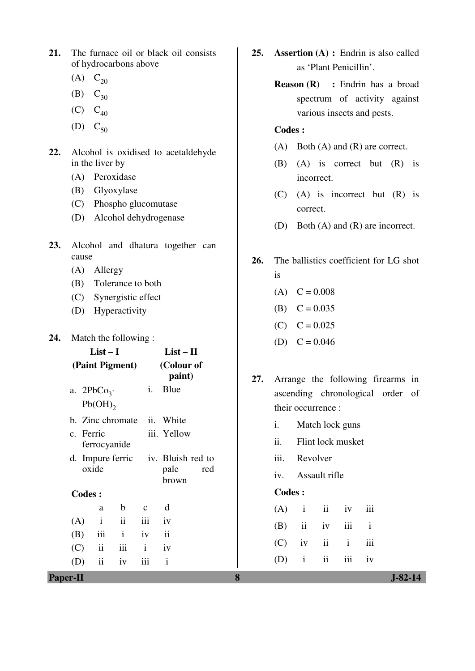- **21.** The furnace oil or black oil consists of hydrocarbons above
	- (A)  $C_{20}$
	- (B)  $C_{30}$
	- $(C)$   $C_{40}$
	- (D)  $C_{50}$
- **22.** Alcohol is oxidised to acetaldehyde in the liver by
	- (A) Peroxidase
	- (B) Glyoxylase
	- (C) Phospho glucomutase
	- (D) Alcohol dehydrogenase
- **23.** Alcohol and dhatura together can cause
	- (A) Allergy
	- (B) Tolerance to both
	- (C) Synergistic effect
	- (D) Hyperactivity

# **24.** Match the following :

|     | $List-I$      |                  | $List-II$    |                                    |     |
|-----|---------------|------------------|--------------|------------------------------------|-----|
|     |               | (Paint Pigment)  |              | (Colour of<br>paint)               |     |
|     | a. $2PbCo3$ . |                  | i.           | Blue                               |     |
|     | Pb(OH)        |                  |              |                                    |     |
|     |               | b. Zinc chromate |              | ii. White                          |     |
|     | c. Ferric     |                  |              | iii. Yellow                        |     |
|     | ferrocyanide  |                  |              |                                    |     |
|     |               |                  |              | d. Impure ferric iv. Bluish red to |     |
|     | oxide         |                  |              | pale                               | red |
|     |               |                  |              | brown                              |     |
|     | <b>Codes:</b> |                  |              |                                    |     |
|     | a             | $\mathbf b$      | $\mathbf{C}$ | d                                  |     |
| (A) | $\mathbf{i}$  | $\ddot{\rm n}$   | iii          | iv                                 |     |
| (B) | iii           | $\mathbf{i}$     | iv           | $\mathbf{ii}$                      |     |
|     | $(C)$ ii      | iii              | $\mathbf{i}$ | iv                                 |     |
| (D) | ii            | iv               | iii          | $\mathbf{i}$                       |     |
|     |               |                  |              |                                    |     |

- **25. Assertion (A) :** Endrin is also called as 'Plant Penicillin'.
	- **Reason (R) :** Endrin has a broad spectrum of activity against various insects and pests.

# **Codes :**

- (A) Both (A) and (R) are correct.
- (B) (A) is correct but (R) is incorrect.
- (C) (A) is incorrect but (R) is correct.
- (D) Both (A) and (R) are incorrect.
- **26.** The ballistics coefficient for LG shot is
	- $(A)$  C = 0.008
	- (B)  $C = 0.035$
	- $(C)$   $C = 0.025$
	- (D)  $C = 0.046$
- **27.** Arrange the following firearms in ascending chronological order of their occurrence :
	- i. Match lock guns
	- ii. Flint lock musket
	- iii. Revolver
	- iv. Assault rifle

# **Codes :**

|  | $(A)$ i ii iv iii |  |  |
|--|-------------------|--|--|
|  | $(B)$ ii iv iii i |  |  |
|  | $(C)$ iv ii i iii |  |  |
|  | $(D)$ i ii iii iv |  |  |

**Paper-II 8 J-82-14**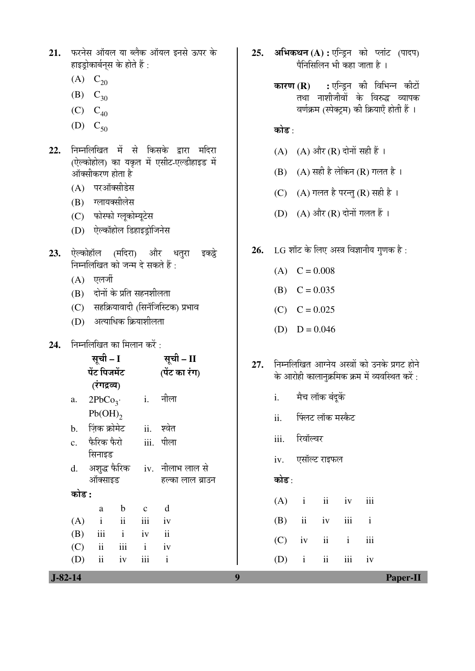- 21. **फरनेस ऑयल या ब्लैक ऑयल इनसे ऊपर** के हाइड़ोकार्बनस के होते हैं :
	- (A)  $C_{20}$
	- (B)  $C_{30}$
	- $(C)$   $C_{40}$
	- (D)  $C_{50}$
- 22. निम्नलिखित में से किसके द्वारा मदिरा (ऐल्कोहोल) का यकृत में एसीट-एल्डीहाइड में ऑक्सीकरण होता है
	- $(A)$  परऑक्सीडेस
	- (B) ग्लायक्सीलेस
	- (C) फोस्फो ग्लूकोम्यूटेस
	- (D) ऐल्कॉहोल डिहाइड्रोजिनेस
- **23.** ऐल्कोहॉल (मदिरा) और धतुरा इकट्ठे <u>निम्नलिखित को जन्म दे सकते हैं:</u>
	- $(A)$  एलर्जी
	- $(B)$  दोनों के प्रति सहनशीलता
	- $(C)$  सहक्रियावादी (सिनॅजिस्टिक) प्रभाव
	- $(D)$  अत्याधिक क्रियाशीलता
- **24.** निम्नलिखित का मिलान करें :

| सूची – I     |                         |             |              | सूची – II                        |
|--------------|-------------------------|-------------|--------------|----------------------------------|
| पेंट पिजमेंट |                         |             |              | (पेंट का रंग)                    |
|              | (रंगद्रव्य)             |             |              |                                  |
| a.           | 2PbCo <sub>3</sub>      |             |              | <u>i.</u> नीला                   |
|              | $Pb(OH)$ <sub>2</sub>   |             |              |                                  |
|              | b. ज़िंक क्रोमेट        |             |              | ii. श्वेत                        |
|              | c. फैरिक फैरो           |             |              | iii. पीला                        |
|              | सिनाइड                  |             |              |                                  |
|              |                         |             |              | d. अशुद्ध फैरिक iv. नीलाभ लाल से |
|              | ऑक्साइड                 |             |              | हल्का लाल ब्राउन                 |
| कोड :        |                         |             |              |                                  |
|              | a                       | $\mathbf b$ | $\mathbf{c}$ | d                                |
| (A)          | $\mathbf{i}$            | ii          | iii          | iv                               |
| (B)          |                         | iii i       | iv           | $\ddot{\text{ii}}$               |
|              | $(C)$ ii iii            |             | <i>i</i> iv  |                                  |
| (D)          | $\overline{\mathbf{u}}$ | iv          | iii          | $\mathbf{i}$                     |
|              |                         |             |              |                                  |

- **25. अभिकथन (A) : एन्ड़िन को प्लांट (पादप)** पैनिसिलिन भी कहा जाता है ।
	- **कारण (R) :** एन्डिन की विभिन्न कीटों तथा नाशीजीवों के विरुद्ध व्यापक वर्णक्रम (स्पेक्टम) की क्रियाएँ होती हैं ।

# कोड :

- $(A)$   $(A)$  और  $(R)$  दोनों सही हैं।
- $(B)$   $(A)$  सही है लेकिन  $(R)$  गलत है।
- (C)  $(A)$  गलत है परन्तु (R) सही है।
- (D)  $(A)$  और  $(R)$  दोनों गलत हैं।
- 26. LG शॉट के लिए अस्त्र विज्ञानीय गणक है:
	- $(A)$  C = 0.008
	- (B)  $C = 0.035$
	- $(C)$   $C = 0.025$
	- (D)  $D = 0.046$
- 27. <del>•</del> निम्नलिखित आग्नेय अस्त्रों को उनके प्रगट होने के आरोही कालानुक्रमिक क्रम में व्यवस्थित करें:
	- i. मैच लॉक बंदुकें
	- ii. ॉफ्लट लॉक मस्कैट
	- iii. रिवॉल्वर
	- iv. एसॉल्ट राइफल

# कोड:

| $(A)$ i ii iv iii |  |  |
|-------------------|--|--|
| $(B)$ ii iv iii i |  |  |
| $(C)$ iv ii i iii |  |  |
| $(D)$ i ii iii iv |  |  |

 **J-82-14 9 Paper-II**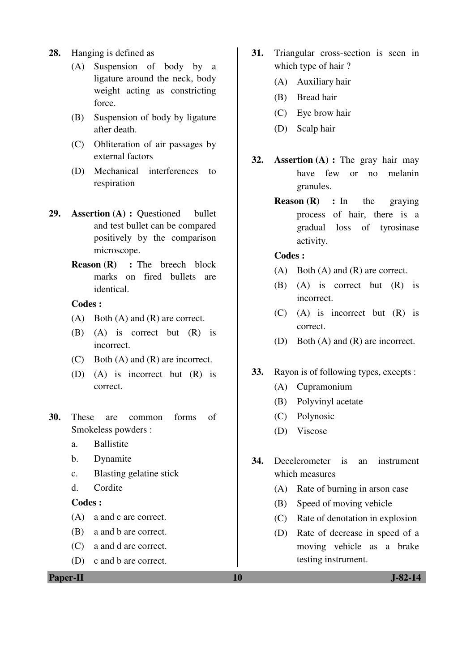- **28.** Hanging is defined as
	- (A) Suspension of body by a ligature around the neck, body weight acting as constricting force.
	- (B) Suspension of body by ligature after death.
	- (C) Obliteration of air passages by external factors
	- (D) Mechanical interferences to respiration
- **29. Assertion (A) :** Questioned bullet and test bullet can be compared positively by the comparison microscope.
	- **Reason (R)** : The breech block marks on fired bullets are identical.

- (A) Both (A) and (R) are correct.
- (B) (A) is correct but (R) is incorrect.
- (C) Both (A) and (R) are incorrect.
- (D) (A) is incorrect but (R) is correct.
- **30.** These are common forms of Smokeless powders :
	- a. Ballistite
	- b. Dynamite
	- c. Blasting gelatine stick
	- d. Cordite

# **Codes :**

- (A) a and c are correct.
- (B) a and b are correct.
- (C) a and d are correct.
- (D) c and b are correct.
- **31.** Triangular cross-section is seen in which type of hair ?
	- (A) Auxiliary hair
	- (B) Bread hair
	- (C) Eye brow hair
	- (D) Scalp hair
- **32. Assertion (A) :** The gray hair may have few or no melanin granules.
	- **Reason (R) :** In the graying process of hair, there is a gradual loss of tyrosinase activity.

## **Codes :**

- (A) Both (A) and (R) are correct.
- (B) (A) is correct but (R) is incorrect.
- (C) (A) is incorrect but (R) is correct.
- (D) Both (A) and (R) are incorrect.

# **33.** Rayon is of following types, excepts :

- (A) Cupramonium
- (B) Polyvinyl acetate
- (C) Polynosic
- (D) Viscose
- **34.** Decelerometer is an instrument which measures
	- (A) Rate of burning in arson case
	- (B) Speed of moving vehicle
	- (C) Rate of denotation in explosion
	- (D) Rate of decrease in speed of a moving vehicle as a brake testing instrument.

**Paper-II** J-82-14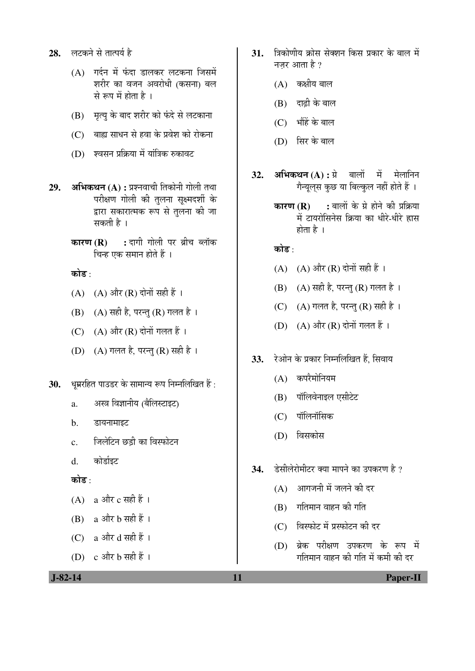- 28. लटकने से तात्पर्य है
	- $(A)$  गर्दन में फंदा डालकर लटकना जिसमें शरीर का वजन अवरोधी (कसना) बल से रूप में होता है।
	- (B) मृत्यु के बाद शरीर को फंदे से लटकाना
	- $(C)$  बाह्य साधन से हवा के प्रवेश को रोकना
	- (D) श्वसन प्रक्रिया में यांत्रिक रुकावट
- **29. अभिकथन (A) :** प्रश्नवाची तिकोनी गोली तथा परीक्षण गोली की तलना सक्ष्मदर्शी के द्वारा सकारात्मक रूप से तुलना की जा सकती है ।
	- **कारण (R) :** दागी गोली पर ब्रीच ब्लॉक चिन्ह एक समान होते हैं ।

कोड़<sup>.</sup>

- $(A)$   $(A)$  और  $(R)$  दोनों सही हैं।
- $(B)$   $(A)$  सही है, परन्तु  $(R)$  गलत है।
- $(C)$   $(A)$  और  $(R)$  दोनों गलत हैं।
- (D)  $(A)$  गलत है, परन्तु (R) सही है।
- 30. **धुम्ररहित पाउडर के सामान्य रूप निम्नलिखित** हैं:
	- a. अस्त्र विज्ञानीय (बैलिस्टाइट)
	- b. डायनामाइट
	- c. जिलेटिन छडी का विस्फोटन
	- d. <del>को</del>र्डाइट

कोड $\cdot$ 

- (A) a और  $c$  सही हैं ।
- $(B)$  a और b सही हैं ।

(C) a और d सही हैं ।

(D)  $c \triangleleft \vec{r}$  b सही हैं।

- 31. त्रिकोणीय क्रोस सेक्शन किस प्रकार के बाल में नज़र आता है  $\overline{v}$ 
	- $(A)$  कक्षीय बाल
	- $(B)$  दाढी के बाल
	- $(C)$  भौंहें के बाल
	- (D) सिर के बाल
- **32. अभिकथन (A) :** ग्रे बालों में मेलानिन गैन्युलुस कुछ या बिल्कुल नहीं होते हैं ।
	- **कारण (R) :** बालों के ग्रे होने की प्रक्रिया में टायरोसिनेस क्रिया का धीरे-धीरे हास होता है $\perp$

कोड<sup>़</sup>

- (A)  $(A)$  और (R) दोनों सही हैं।
- $(B)$   $(A)$  सही है, परन्तु  $(R)$  गलत है।
- (C)  $(A)$  गलत है, परन्तु (R) सही है।
- $(D)$   $(A)$  और  $(R)$  दोनों गलत हैं।
- 33. रेओन के प्रकार निम्नलिखित हैं, सिवाय
	- $(A)$  कपरैमोनियम
	- (B) पॉलिवेनाइल एसीटेट
	- $(C)$  पॉलिनॉसिक
	- (D) विसकोस
- 34. हेसीलेरोमीटर क्या मापने का उपकरण है ?
	- $(A)$  आगजनी में जलने की दर
	- $(B)$  गतिमान वाहन की गति
	- (C) विस्फोट में प्रस्फोटन की दर
	- $(D)$  ब्रेक परीक्षण उपकरण के रूप में गतिमान वाहन की गति में कमी की दर

 **J-82-14 11 Paper-II**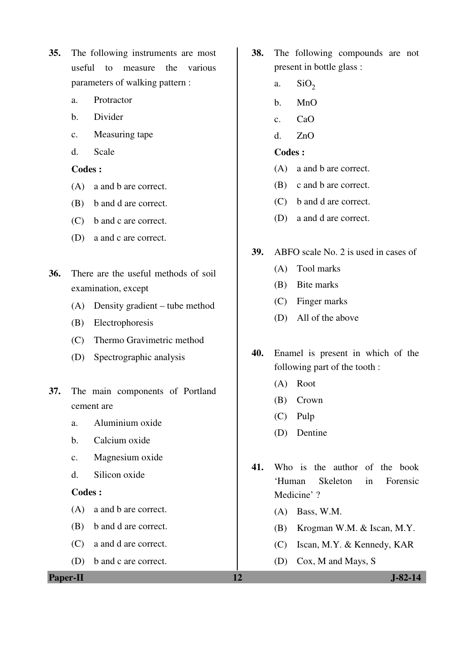- **35.** The following instruments are most useful to measure the various parameters of walking pattern :
	- a. Protractor
	- b. Divider
	- c. Measuring tape
	- d. Scale

- (A) a and b are correct.
- (B) b and d are correct.
- (C) b and c are correct.
- (D) a and c are correct.
- **36.** There are the useful methods of soil examination, except
	- (A) Density gradient tube method
	- (B) Electrophoresis
	- (C) Thermo Gravimetric method
	- (D) Spectrographic analysis
- **37.** The main components of Portland cement are
	- a. Aluminium oxide
	- b. Calcium oxide
	- c. Magnesium oxide
	- d. Silicon oxide

### **Codes :**

- (A) a and b are correct.
- (B) b and d are correct.
- (C) a and d are correct.
- (D) b and c are correct.

**38.** The following compounds are not present in bottle glass :

- a.  $SiO<sub>2</sub>$
- b. MnO
- c. CaO
- d. ZnO

- (A) a and b are correct.
- (B) c and b are correct.
- (C) b and d are correct.
- (D) a and d are correct.
- **39.** ABFO scale No. 2 is used in cases of
	- (A) Tool marks
	- (B) Bite marks
	- (C) Finger marks
	- (D) All of the above
- **40.** Enamel is present in which of the following part of the tooth :
	- (A) Root
	- (B) Crown
	- (C) Pulp
	- (D) Dentine
- **41.** Who is the author of the book 'Human Skeleton in Forensic Medicine' ?
	- (A) Bass, W.M.
	- (B) Krogman W.M. & Iscan, M.Y.
	- (C) Iscan, M.Y. & Kennedy, KAR
	- (D) Cox, M and Mays, S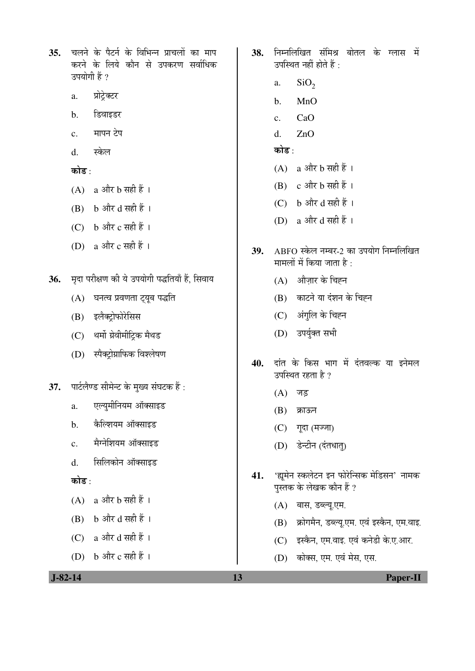चलने के पैटर्न के विभिन्न प्राचलों का माप  $35.$ करने के लिये कौन से उपकरण सर्वाधिक उपयोगी हैं ?

- प्रोट्रेक्टर a.
- डिवाइडर  $<sub>b</sub>$ .</sub>
- मापन टेप  $\mathbf{c}$ .
- $\mathbf{d}$ . स्केल

कोड :

- $(A)$  a और b सही हैं।
- $(B)$  b और d सही हैं।
- (C)  $b$  और  $c$  सही हैं।
- (D) a और c सही हैं ।
- मृदा परीक्षण की ये उपयोगी पद्धतियाँ हैं, सिवाय 36.
	- (A) घनत्व प्रवणता ट्यूब पद्धति
	- (B) इलैक्ट्रोफोरेसिस
	- (C) थर्मो ग्रेवीमीट्रिक मैथड
	- (D) स्पैक्ट्रोग्राफिक विश्लेषण
- पार्टलैण्ड सीमेन्ट के मुख्य संघटक हैं : 37.
	- एल्युमीनियम ऑक्साइड  $\overline{a}$ .
	- कैल्शियम ऑक्साइड  $<sub>b</sub>$ </sub>
	- मैग्नेशियम ऑक्साइड  $\mathbf{c}$ .
	- सिलिकोन ऑक्साइड  $\overline{d}$ .

कोड $\cdot$ 

- $(A)$  a और b सही हैं।
- $(B)$  b और d सही हैं।
- $(C)$  a और d सही हैं।
- (D) b और c सही हैं ।
- 38. निम्नलिखित संमिश्र बोतल के ग्लास में उपस्थित नहीं होते हैं :
	- $SiO<sub>2</sub>$ a.
	- $MnO$  $<sub>b</sub>$ </sub>
	- $CaO$  $\mathbf{c}$ .
	- $ZnO$  $\mathbf{d}$ .
	- कोड  $\cdot$
	- $(A)$  a और b सही हैं।
	- $(B)$  c और b सही हैं।
	- $(C)$  b और d सही हैं।
	- (D) a और d सही हैं ।
- ABFO स्केल नम्बर-2 का उपयोग निम्नलिखित 39. मामलों में किया जाता है :
	- (A) औज़ार के चिह्न
	- (B) काटने या दंशन के चिह्न
	- (C) अंगुलि के चिह्न
	- (D) उपर्युक्त सभी
- दांत के किस भाग में दंतवल्क या इनेमल 40. उपस्थित रहता है ?
	- $(A)$  जड़
	- (B) क्राऊन
	- (C) गूदा (मज्जा)
	- (D) डेन्टीन (दंतधात्)
- 'ह्यूमेन स्कलेटन इन फोरेन्सिक मेडिसन' नामक 41. पुस्तक के लेखक कौन हैं ?
	- (A) बास, डब्ल्यू.एम.
	- (B) क्रोगमैन, डब्ल्यू.एम. एवं इस्कैन, एम.वाइ.
	- (C) इस्कैन, एम.वाइ. एवं कनेडी के.ए.आर.
	- (D) कोक्स, एम. एवं मेस, एस.

 $J-82-14$ 

13

**Paper-II**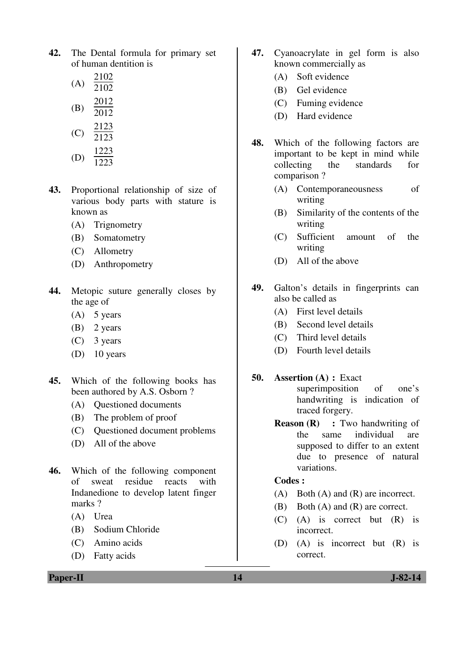**42.** The Dental formula for primary set of human dentition is

|     | 2102 |
|-----|------|
| (A) | 2102 |
|     |      |

- (B) 2012  $\overline{2012}$
- $(C)$ 2123

$$
^{(2)} \quad 2123
$$

- (D) 1223 1223
- **43.** Proportional relationship of size of various body parts with stature is known as
	- (A) Trignometry
	- (B) Somatometry
	- (C) Allometry
	- (D) Anthropometry
- **44.** Metopic suture generally closes by the age of
	- (A) 5 years
	- (B) 2 years
	- (C) 3 years
	- (D) 10 years
- **45.** Which of the following books has been authored by A.S. Osborn ?
	- (A) Questioned documents
	- (B) The problem of proof
	- (C) Questioned document problems
	- (D) All of the above
- **46.** Which of the following component of sweat residue reacts with Indanedione to develop latent finger marks?
	- (A) Urea
	- (B) Sodium Chloride
	- (C) Amino acids
	- (D) Fatty acids
- **47.** Cyanoacrylate in gel form is also known commercially as
	- (A) Soft evidence
	- (B) Gel evidence
	- (C) Fuming evidence
	- (D) Hard evidence
- **48.** Which of the following factors are important to be kept in mind while collecting the standards for comparison ?
	- (A) Contemporaneousness of writing
	- (B) Similarity of the contents of the writing
	- (C) Sufficient amount of the writing
	- (D) All of the above
- **49.** Galton's details in fingerprints can also be called as
	- (A) First level details
	- (B) Second level details
	- (C) Third level details
	- (D) Fourth level details
- **50. Assertion (A) :** Exact superimposition of one's handwriting is indication of traced forgery.
	- **Reason (R) :** Two handwriting of the same individual are supposed to differ to an extent due to presence of natural variations.

- (A) Both (A) and (R) are incorrect.
- (B) Both (A) and (R) are correct.
- (C) (A) is correct but (R) is incorrect.
- (D) (A) is incorrect but (R) is correct.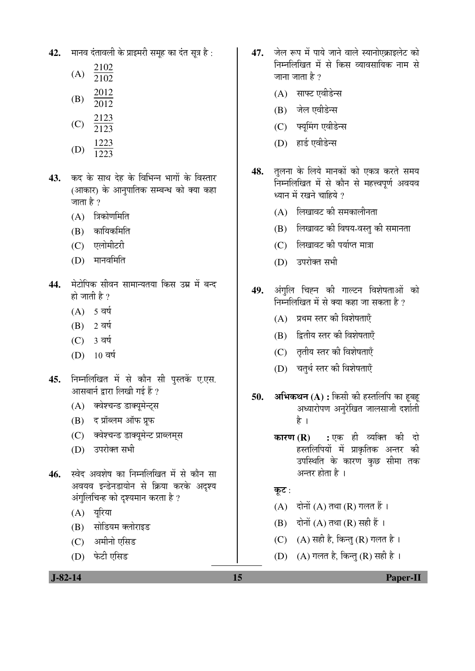42. THE EST ADD AND THE READ THE 2012.

|     | 2102 |
|-----|------|
| (A) | 2102 |
|     | 2012 |

- (B) 2012
- 2123
- $(C)$ 2123
- (D) 1223  $\overline{1223}$
- **43.** कद के साथ देह के विभिन्न भागों के विस्तार (आकार) के आनुपातिक सम्बन्ध को क्या कहा जाता है ?
	- $(A)$  त्रिकोणमिति
	- $(B)$  कायिकमिति
	- (C) एलोमीटरी
	- (D) मानवमिति
- 44. <sup>मे</sup>टोपिक सीवन सामान्यतया किस उम्र में बन्द हो जाती है ?
	- $(A)$  5 वर्ष
	- $(B)$  2 वर्ष
	- (C) 3 वर्ष
	- (D) 10 वर्ष
- 45. निम्नलिखित में से कौन सी पुस्तकें ए.एस. आसबार्न द्वारा लिखी गई हैं ?
	- (A) क्वेश्चन्ड डाक्यमेन्टस
	- $(B)$  द प्रॉब्लम ऑफ प्रफ
	- (C) क्वेश्चन्ड डाक्यमेन्ट प्राब्लमस
	- (D) उपरोक्त सभी
- **46.** स्वेद अवशेष का निम्नलिखित में से कौन सा अवयव इन्डेनडायोन से क्रिया करके अदश्य अंगुलिचिन्ह को दृश्यमान करता है ?
	- $(A)$  यरिया
	- (B) सोडियम क्लोराइड
	- (C) अमीनो एसिड
	- (D) फेटी एसिड
- 47. जेल रूप में पाये जाने वाले स्यानोएक्राइलेट को निम्नलिखित में से किस व्यावसायिक नाम से जाना जाता है  $\overline{?}$ 
	- $(A)$  साफ्ट एवीडेन्स
	- (B) जेल एवीडेन्स
	- (C) फ्यूमिंग एवीडेन्स
	- (D) हार्ड एवीडेन्स
- 48. तलना के लिये मानकों को एकत्र करते समय निम्नलिखित में से कौन से महत्त्वपूर्ण अवयव ध्यान में रखने चाहिये ?
	- $(A)$  लिखावट की समकालीनता
	- $(B)$  लिखावट की विषय-वस्त की समानता
	- (C) लिखावट की पर्याप्त मात्रा
	- (D) उपरोक्त सभी
- 49. अंगुलि चिह्न की गाल्टन विशेषताओं को <u>निम्नलिखित में से क्या कहा जा सकता है ?</u>
	- (A) प्रथम स्तर की विशेषताएँ
	- (B) हितीय स्तर की विशेषताएँ
	- (C) तृतीय स्तर की विशेषताएँ
	- (D) चतुर्थ स्तर की विशेषताएँ
- 50. **अभिकथन** (A) : किसी की हस्तलिपि का हूबह अध्यारोपण अनुरेखित जालसाजी दर्शाती है ।
	- **कारण (R) :** एक ही व्यक्ति की दो हस्तलिपियों में प्राकृतिक अन्तर की उपस्थिति के कारण कछ सीमा तक अन्तर होता है ।

कुट:

- $(A)$  दोनों  $(A)$  तथा  $(R)$  गलत हैं।
- $(B)$  दोनों  $(A)$  तथा  $(R)$  सही हैं ।
- (C)  $(A)$  सही है, किन्तु (R) गलत है।
- (D)  $(A)$  गलत है, किन्तु (R) सही है।

 **J-82-14 15 Paper-II**